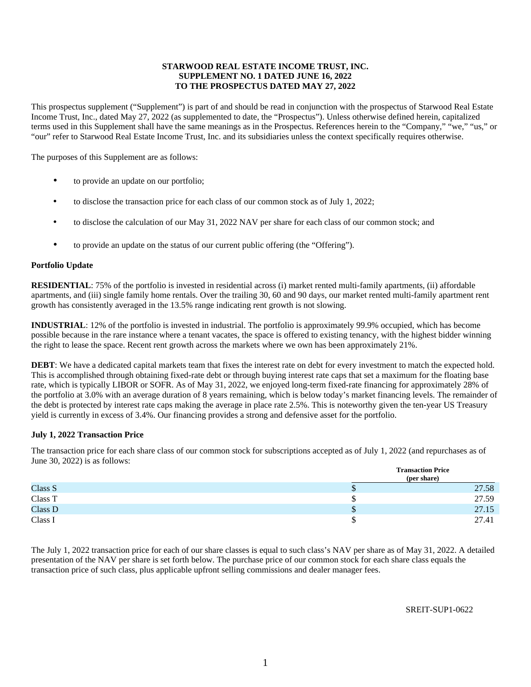# **STARWOOD REAL ESTATE INCOME TRUST, INC. SUPPLEMENT NO. 1 DATED JUNE 16, 2022 TO THE PROSPECTUS DATED MAY 27, 2022**

This prospectus supplement ("Supplement") is part of and should be read in conjunction with the prospectus of Starwood Real Estate Income Trust, Inc., dated May 27, 2022 (as supplemented to date, the "Prospectus"). Unless otherwise defined herein, capitalized terms used in this Supplement shall have the same meanings as in the Prospectus. References herein to the "Company," "we," "us," or "our" refer to Starwood Real Estate Income Trust, Inc. and its subsidiaries unless the context specifically requires otherwise.

The purposes of this Supplement are as follows:

- to provide an update on our portfolio;
- to disclose the transaction price for each class of our common stock as of July 1, 2022;
- to disclose the calculation of our May 31, 2022 NAV per share for each class of our common stock; and
- to provide an update on the status of our current public offering (the "Offering").

### **Portfolio Update**

**RESIDENTIAL**: 75% of the portfolio is invested in residential across (i) market rented multi-family apartments, (ii) affordable apartments, and (iii) single family home rentals. Over the trailing 30, 60 and 90 days, our market rented multi-family apartment rent growth has consistently averaged in the 13.5% range indicating rent growth is not slowing.

**INDUSTRIAL**: 12% of the portfolio is invested in industrial. The portfolio is approximately 99.9% occupied, which has become possible because in the rare instance where a tenant vacates, the space is offered to existing tenancy, with the highest bidder winning the right to lease the space. Recent rent growth across the markets where we own has been approximately 21%.

**DEBT**: We have a dedicated capital markets team that fixes the interest rate on debt for every investment to match the expected hold. This is accomplished through obtaining fixed-rate debt or through buying interest rate caps that set a maximum for the floating base rate, which is typically LIBOR or SOFR. As of May 31, 2022, we enjoyed long-term fixed-rate financing for approximately 28% of the portfolio at 3.0% with an average duration of 8 years remaining, which is below today's market financing levels. The remainder of the debt is protected by interest rate caps making the average in place rate 2.5%. This is noteworthy given the ten-year US Treasury yield is currently in excess of 3.4%. Our financing provides a strong and defensive asset for the portfolio.

#### **July 1, 2022 Transaction Price**

The transaction price for each share class of our common stock for subscriptions accepted as of July 1, 2022 (and repurchases as of June 30, 2022) is as follows:

|         | <b>Transaction Price</b><br>(per share) |       |  |  |  |  |  |
|---------|-----------------------------------------|-------|--|--|--|--|--|
| Class S | ۰D                                      | 27.58 |  |  |  |  |  |
| Class T |                                         | 27.59 |  |  |  |  |  |
| Class D | Φ                                       | 27.15 |  |  |  |  |  |
| Class I |                                         | 27.41 |  |  |  |  |  |

The July 1, 2022 transaction price for each of our share classes is equal to such class's NAV per share as of May 31, 2022. A detailed presentation of the NAV per share is set forth below. The purchase price of our common stock for each share class equals the transaction price of such class, plus applicable upfront selling commissions and dealer manager fees.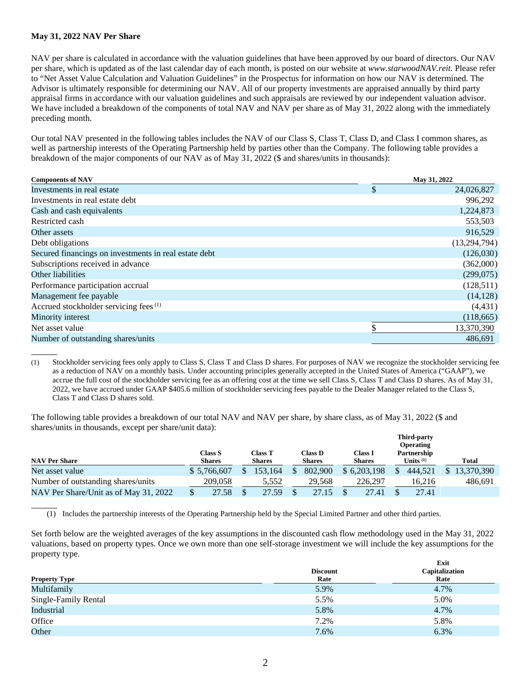# **May 31, 2022 NAV Per Share**

 $\overline{a}$ 

NAV per share is calculated in accordance with the valuation guidelines that have been approved by our board of directors. Our NAV per share, which is updated as of the last calendar day of each month, is posted on our website at *www.starwoodNAV.reit.* Please refer to "Net Asset Value Calculation and Valuation Guidelines" in the Prospectus for information on how our NAV is determined. The Advisor is ultimately responsible for determining our NAV. All of our property investments are appraised annually by third party appraisal firms in accordance with our valuation guidelines and such appraisals are reviewed by our independent valuation advisor. We have included a breakdown of the components of total NAV and NAV per share as of May 31, 2022 along with the immediately preceding month.

Our total NAV presented in the following tables includes the NAV of our Class S, Class T, Class D, and Class I common shares, as well as partnership interests of the Operating Partnership held by parties other than the Company. The following table provides a breakdown of the major components of our NAV as of May 31, 2022 (\$ and shares/units in thousands):

| <b>Components of NAV</b>                              | May 31, 2022 |              |  |  |  |  |
|-------------------------------------------------------|--------------|--------------|--|--|--|--|
| Investments in real estate                            | \$           | 24,026,827   |  |  |  |  |
| Investments in real estate debt                       |              | 996,292      |  |  |  |  |
| Cash and cash equivalents                             |              | 1,224,873    |  |  |  |  |
| Restricted cash                                       |              | 553,503      |  |  |  |  |
| Other assets                                          |              | 916,529      |  |  |  |  |
| Debt obligations                                      |              | (13,294,794) |  |  |  |  |
| Secured financings on investments in real estate debt |              | (126,030)    |  |  |  |  |
| Subscriptions received in advance                     |              | (362,000)    |  |  |  |  |
| Other liabilities                                     |              | (299,075)    |  |  |  |  |
| Performance participation accrual                     |              | (128,511)    |  |  |  |  |
| Management fee payable                                |              | (14, 128)    |  |  |  |  |
| Accrued stockholder servicing fees <sup>(1)</sup>     |              | (4, 431)     |  |  |  |  |
| Minority interest                                     |              | (118, 665)   |  |  |  |  |
| Net asset value                                       | \$           | 13,370,390   |  |  |  |  |
| Number of outstanding shares/units                    |              | 486,691      |  |  |  |  |
|                                                       |              |              |  |  |  |  |

(1) Stockholder servicing fees only apply to Class S, Class T and Class D shares. For purposes of NAV we recognize the stockholder servicing fee as a reduction of NAV on a monthly basis. Under accounting principles generally accepted in the United States of America ("GAAP"), we accrue the full cost of the stockholder servicing fee as an offering cost at the time we sell Class S, Class T and Class D shares. As of May 31, 2022, we have accrued under GAAP \$405.6 million of stockholder servicing fees payable to the Dealer Manager related to the Class S, Class T and Class D shares sold.

The following table provides a breakdown of our total NAV and NAV per share, by share class, as of May 31, 2022 (\$ and shares/units in thousands, except per share/unit data):

|                                       |                          |                          |                          |                                 | <b>Third-party</b><br><b>Operating</b> |            |
|---------------------------------------|--------------------------|--------------------------|--------------------------|---------------------------------|----------------------------------------|------------|
| <b>NAV Per Share</b>                  | Class S<br><b>Shares</b> | Class T<br><b>Shares</b> | Class D<br><b>Shares</b> | <b>Class I</b><br><b>Shares</b> | Partnership<br>Units $(1)$             | Total      |
| Net asset value                       | \$ 5,766,607             | 153.164                  | 802,900                  | \$6,203,198                     | 444.521                                | 13.370.390 |
| Number of outstanding shares/units    | 209.058                  | 5.552                    | 29.568                   | 226,297                         | 16.216                                 | 486.691    |
| NAV Per Share/Unit as of May 31, 2022 | 27.58                    | 27.59                    | 27.15                    | 27.41                           | 27.41                                  |            |

(1) Includes the partnership interests of the Operating Partnership held by the Special Limited Partner and other third parties.

Set forth below are the weighted averages of the key assumptions in the discounted cash flow methodology used in the May 31, 2022 valuations, based on property types. Once we own more than one self-storage investment we will include the key assumptions for the property type. **Exit** 

|                      | <b>Discount</b> | Exit<br>Capitalization |
|----------------------|-----------------|------------------------|
| <b>Property Type</b> | Rate            | Rate                   |
| Multifamily          | 5.9%            | 4.7%                   |
| Single-Family Rental | 5.5%            | 5.0%                   |
| Industrial           | 5.8%            | 4.7%                   |
| Office               | 7.2%            | 5.8%                   |
| Other                | 7.6%            | 6.3%                   |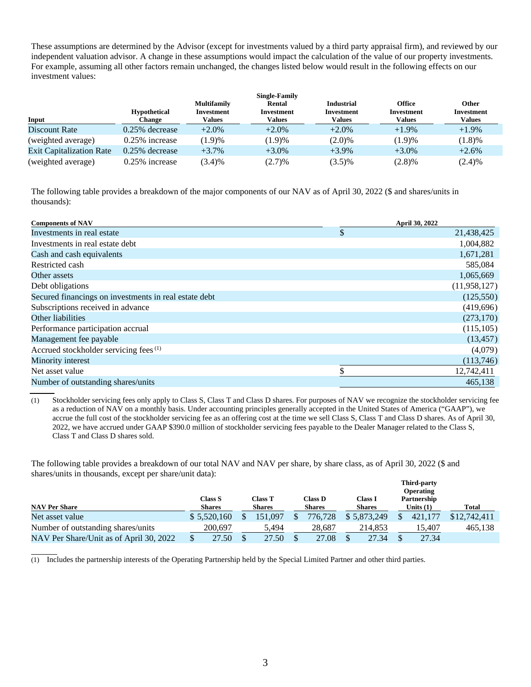These assumptions are determined by the Advisor (except for investments valued by a third party appraisal firm), and reviewed by our independent valuation advisor. A change in these assumptions would impact the calculation of the value of our property investments. For example, assuming all other factors remain unchanged, the changes listed below would result in the following effects on our investment values:

|                                 | <b>Hypothetical</b> | <b>Multifamily</b><br><b>Investment</b> | <b>Single-Family</b><br>Rental<br>Investment | <b>Industrial</b><br>Investment | <b>Office</b><br><b>Investment</b> | <b>Other</b><br><b>Investment</b> |
|---------------------------------|---------------------|-----------------------------------------|----------------------------------------------|---------------------------------|------------------------------------|-----------------------------------|
| Input                           | <b>Change</b>       | Values                                  | <b>Values</b>                                | Values                          | <b>Values</b>                      | <b>Values</b>                     |
| Discount Rate                   | $0.25\%$ decrease   | $+2.0\%$                                | $+2.0\%$                                     | $+2.0\%$                        | $+1.9\%$                           | $+1.9\%$                          |
| (weighted average)              | $0.25\%$ increase   | (1.9)%                                  | (1.9)%                                       | $(2.0)\%$                       | (1.9)%                             | (1.8)%                            |
| <b>Exit Capitalization Rate</b> | $0.25\%$ decrease   | $+3.7%$                                 | $+3.0\%$                                     | $+3.9\%$                        | $+3.0\%$                           | $+2.6%$                           |
| (weighted average)              | $0.25\%$ increase   | (3.4)%                                  | (2.7)%                                       | $(3.5)\%$                       | (2.8)%                             | (2.4)%                            |

The following table provides a breakdown of the major components of our NAV as of April 30, 2022 (\$ and shares/units in thousands):

| <b>Components of NAV</b>                              | <b>April 30, 2022</b> |
|-------------------------------------------------------|-----------------------|
| Investments in real estate                            | \$<br>21,438,425      |
| Investments in real estate debt                       | 1,004,882             |
| Cash and cash equivalents                             | 1,671,281             |
| Restricted cash                                       | 585,084               |
| Other assets                                          | 1,065,669             |
| Debt obligations                                      | (11, 958, 127)        |
| Secured financings on investments in real estate debt | (125, 550)            |
| Subscriptions received in advance                     | (419, 696)            |
| Other liabilities                                     | (273, 170)            |
| Performance participation accrual                     | (115, 105)            |
| Management fee payable                                | (13, 457)             |
| Accrued stockholder servicing fees <sup>(1)</sup>     | (4,079)               |
| Minority interest                                     | (113,746)             |
| Net asset value                                       | 12,742,411            |
| Number of outstanding shares/units                    | 465.138               |

(1) Stockholder servicing fees only apply to Class S, Class T and Class D shares. For purposes of NAV we recognize the stockholder servicing fee as a reduction of NAV on a monthly basis. Under accounting principles generally accepted in the United States of America ("GAAP"), we accrue the full cost of the stockholder servicing fee as an offering cost at the time we sell Class S, Class T and Class D shares. As of April 30, 2022, we have accrued under GAAP \$390.0 million of stockholder servicing fees payable to the Dealer Manager related to the Class S, Class T and Class D shares sold.

The following table provides a breakdown of our total NAV and NAV per share, by share class, as of April 30, 2022 (\$ and shares/units in thousands, except per share/unit data): **Third-party** 

|                                         |                                 |                          |                                 |                                 | Third-party<br><b>Operating</b> |              |
|-----------------------------------------|---------------------------------|--------------------------|---------------------------------|---------------------------------|---------------------------------|--------------|
| <b>NAV Per Share</b>                    | <b>Class S</b><br><b>Shares</b> | Class T<br><b>Shares</b> | Class <b>D</b><br><b>Shares</b> | <b>Class I</b><br><b>Shares</b> | Partnership<br>Units $(1)$      | <b>Total</b> |
| Net asset value                         | \$5,520,160                     | 151.097                  | 776.728                         | \$5,873,249                     | 421,177                         | \$12,742,411 |
| Number of outstanding shares/units      | 200,697                         | 5.494                    | 28.687                          | 214.853                         | 15.407                          | 465.138      |
| NAV Per Share/Unit as of April 30, 2022 | 27.50                           | 27.50                    | 27.08                           | 27.34                           | 27.34                           |              |

 $\overline{a}$ (1) Includes the partnership interests of the Operating Partnership held by the Special Limited Partner and other third parties.